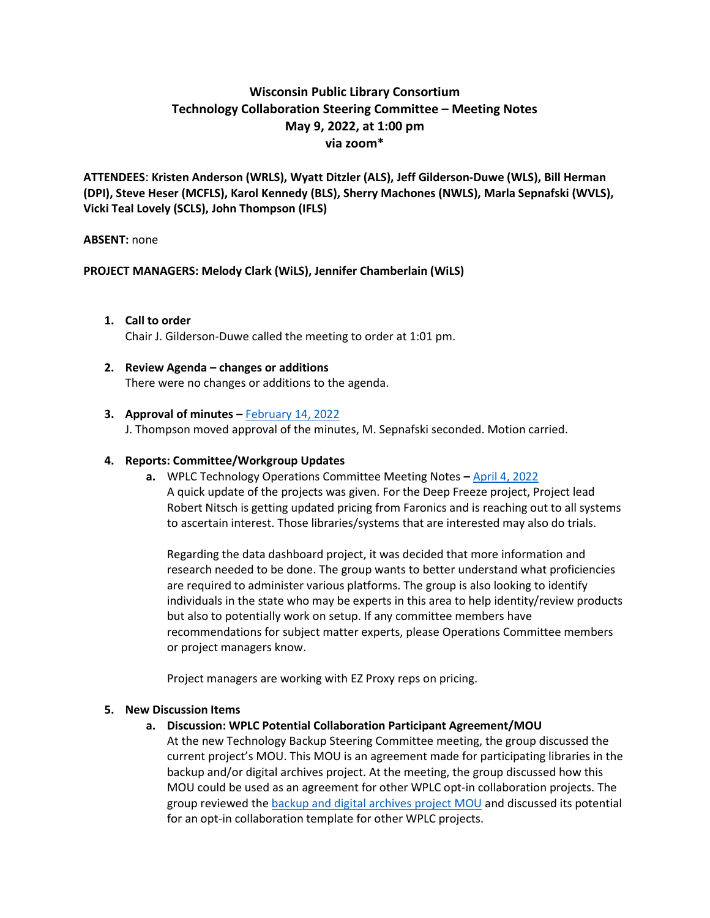# **Wisconsin Public Library Consortium Technology Collaboration Steering Committee – Meeting Notes May 9, 2022, at 1:00 pm via zoom\***

**ATTENDEES**: **Kristen Anderson (WRLS), Wyatt Ditzler (ALS), Jeff Gilderson-Duwe (WLS), Bill Herman (DPI), Steve Heser (MCFLS), Karol Kennedy (BLS), Sherry Machones (NWLS), Marla Sepnafski (WVLS), Vicki Teal Lovely (SCLS), John Thompson (IFLS)**

### **ABSENT:** none

## **PROJECT MANAGERS: Melody Clark (WiLS), Jennifer Chamberlain (WiLS)**

#### **1. Call to order** Chair J. Gilderson-Duwe called the meeting to order at 1:01 pm.

## **2. Review Agenda – changes or additions**  There were no changes or additions to the agenda.

### **3.** Approval of minutes – [February 14, 2022](https://wplc.info/sites/wplc.info/files/02-14-2022%20WPLC%20Tech%20Steering%20Meeting%20Notes.pdf)

J. Thompson moved approval of the minutes, M. Sepnafski seconded. Motion carried.

#### **4. Reports: Committee/Workgroup Updates**

**a.** WPLC Technology Operations Committee Meeting Notes **–** [April 4, 2022](https://wplc.info/sites/wplc.info/files/04-04-2022%20WPLC%20Tech%20Operations%20Notes.pdf) A quick update of the projects was given. For the Deep Freeze project, Project lead Robert Nitsch is getting updated pricing from Faronics and is reaching out to all systems to ascertain interest. Those libraries/systems that are interested may also do trials.

Regarding the data dashboard project, it was decided that more information and research needed to be done. The group wants to better understand what proficiencies are required to administer various platforms. The group is also looking to identify individuals in the state who may be experts in this area to help identity/review products but also to potentially work on setup. If any committee members have recommendations for subject matter experts, please Operations Committee members or project managers know.

Project managers are working with EZ Proxy reps on pricing.

#### **5. New Discussion Items**

## **a. Discussion: WPLC Potential Collaboration Participant Agreement/MOU**

At the new Technology Backup Steering Committee meeting, the group discussed the current project's MOU. This MOU is an agreement made for participating libraries in the backup and/or digital archives project. At the meeting, the group discussed how this MOU could be used as an agreement for other WPLC opt-in collaboration projects. The group reviewed the [backup and digital archives project](https://wplc.info/sites/wplc.info/files/MOU%20-Wisconsin%20Public%20Library%20Backup%20and%20Digtization%20Archive%20Collaboration%20Agreement.pdf) MOU and discussed its potential for an opt-in collaboration template for other WPLC projects.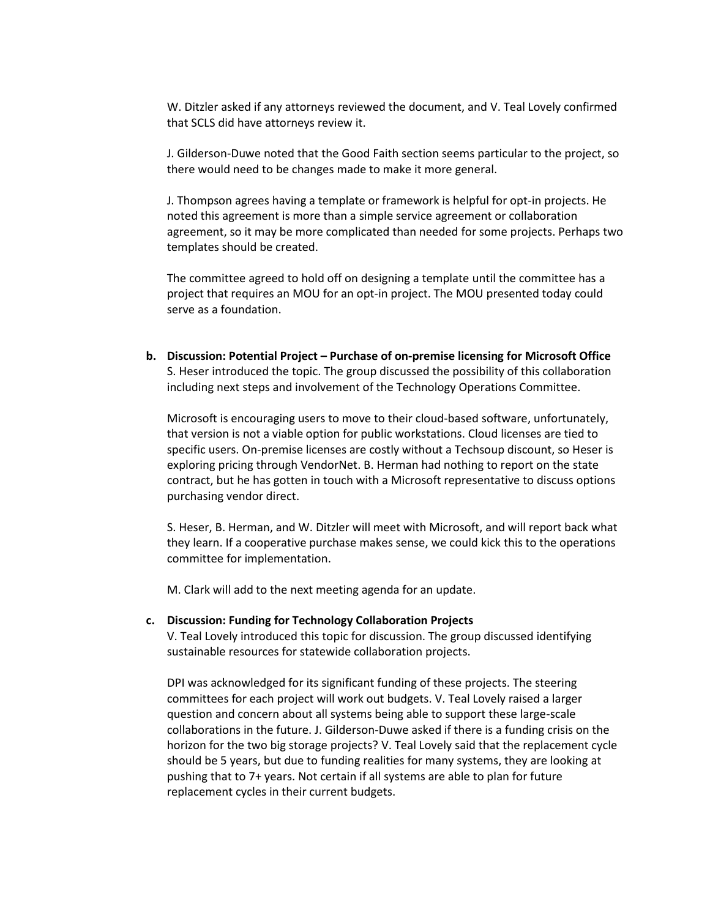W. Ditzler asked if any attorneys reviewed the document, and V. Teal Lovely confirmed that SCLS did have attorneys review it.

J. Gilderson-Duwe noted that the Good Faith section seems particular to the project, so there would need to be changes made to make it more general.

J. Thompson agrees having a template or framework is helpful for opt-in projects. He noted this agreement is more than a simple service agreement or collaboration agreement, so it may be more complicated than needed for some projects. Perhaps two templates should be created.

The committee agreed to hold off on designing a template until the committee has a project that requires an MOU for an opt-in project. The MOU presented today could serve as a foundation.

**b. Discussion: Potential Project – Purchase of on-premise licensing for Microsoft Office** S. Heser introduced the topic. The group discussed the possibility of this collaboration including next steps and involvement of the Technology Operations Committee.

Microsoft is encouraging users to move to their cloud-based software, unfortunately, that version is not a viable option for public workstations. Cloud licenses are tied to specific users. On-premise licenses are costly without a Techsoup discount, so Heser is exploring pricing through VendorNet. B. Herman had nothing to report on the state contract, but he has gotten in touch with a Microsoft representative to discuss options purchasing vendor direct.

S. Heser, B. Herman, and W. Ditzler will meet with Microsoft, and will report back what they learn. If a cooperative purchase makes sense, we could kick this to the operations committee for implementation.

M. Clark will add to the next meeting agenda for an update.

#### **c. Discussion: Funding for Technology Collaboration Projects**

V. Teal Lovely introduced this topic for discussion. The group discussed identifying sustainable resources for statewide collaboration projects.

DPI was acknowledged for its significant funding of these projects. The steering committees for each project will work out budgets. V. Teal Lovely raised a larger question and concern about all systems being able to support these large-scale collaborations in the future. J. Gilderson-Duwe asked if there is a funding crisis on the horizon for the two big storage projects? V. Teal Lovely said that the replacement cycle should be 5 years, but due to funding realities for many systems, they are looking at pushing that to 7+ years. Not certain if all systems are able to plan for future replacement cycles in their current budgets.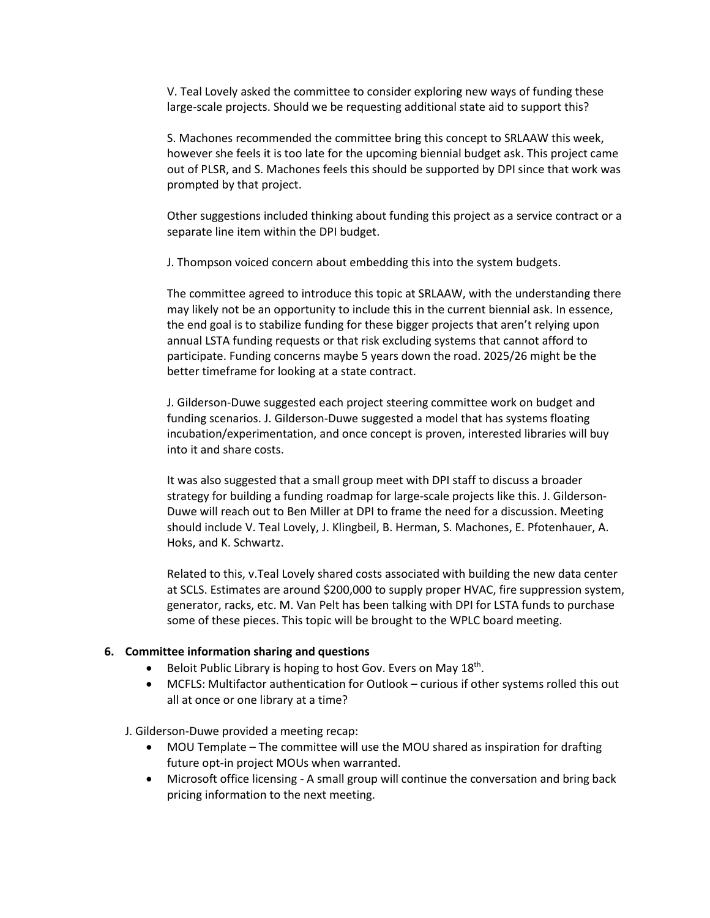V. Teal Lovely asked the committee to consider exploring new ways of funding these large-scale projects. Should we be requesting additional state aid to support this?

S. Machones recommended the committee bring this concept to SRLAAW this week, however she feels it is too late for the upcoming biennial budget ask. This project came out of PLSR, and S. Machones feels this should be supported by DPI since that work was prompted by that project.

Other suggestions included thinking about funding this project as a service contract or a separate line item within the DPI budget.

J. Thompson voiced concern about embedding this into the system budgets.

The committee agreed to introduce this topic at SRLAAW, with the understanding there may likely not be an opportunity to include this in the current biennial ask. In essence, the end goal is to stabilize funding for these bigger projects that aren't relying upon annual LSTA funding requests or that risk excluding systems that cannot afford to participate. Funding concerns maybe 5 years down the road. 2025/26 might be the better timeframe for looking at a state contract.

J. Gilderson-Duwe suggested each project steering committee work on budget and funding scenarios. J. Gilderson-Duwe suggested a model that has systems floating incubation/experimentation, and once concept is proven, interested libraries will buy into it and share costs.

It was also suggested that a small group meet with DPI staff to discuss a broader strategy for building a funding roadmap for large-scale projects like this. J. Gilderson-Duwe will reach out to Ben Miller at DPI to frame the need for a discussion. Meeting should include V. Teal Lovely, J. Klingbeil, B. Herman, S. Machones, E. Pfotenhauer, A. Hoks, and K. Schwartz.

Related to this, v.Teal Lovely shared costs associated with building the new data center at SCLS. Estimates are around \$200,000 to supply proper HVAC, fire suppression system, generator, racks, etc. M. Van Pelt has been talking with DPI for LSTA funds to purchase some of these pieces. This topic will be brought to the WPLC board meeting.

#### **6. Committee information sharing and questions**

- Beloit Public Library is hoping to host Gov. Evers on May 18<sup>th</sup>.
- MCFLS: Multifactor authentication for Outlook curious if other systems rolled this out all at once or one library at a time?

J. Gilderson-Duwe provided a meeting recap:

- MOU Template The committee will use the MOU shared as inspiration for drafting future opt-in project MOUs when warranted.
- Microsoft office licensing A small group will continue the conversation and bring back pricing information to the next meeting.